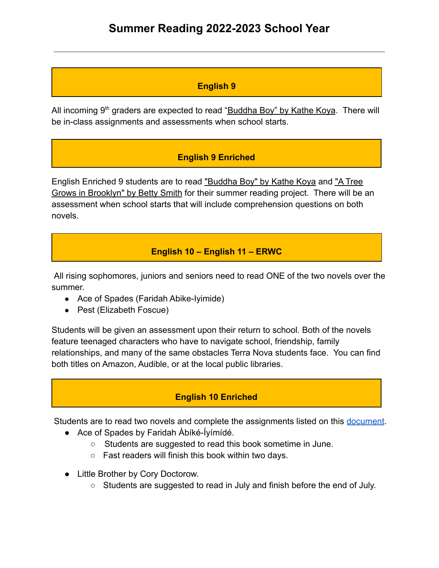### **English 9**

All incoming  $9<sup>th</sup>$  graders are expected to read "Buddha Boy" by Kathe Koya. There will be in-class assignments and assessments when school starts.

### **English 9 Enriched**

English Enriched 9 students are to read "Buddha Boy" by Kathe Koya and "A Tree Grows in Brooklyn" by Betty Smith for their summer reading project. There will be an assessment when school starts that will include comprehension questions on both novels.

## **English 10 – English 11 – ERWC**

All rising sophomores, juniors and seniors need to read ONE of the two novels over the summer.

- Ace of Spades (Faridah Abike-Iyimide)
- Pest (Elizabeth Foscue)

Students will be given an assessment upon their return to school. Both of the novels feature teenaged characters who have to navigate school, friendship, family relationships, and many of the same obstacles Terra Nova students face. You can find both titles on Amazon, Audible, or at the local public libraries.

### **English 10 Enriched**

Students are to read two novels and complete the assignments listed on this [document](https://drive.google.com/file/d/1K7DFPk6RFwNJRRSsQz82oLFapP3-Obbd/view).

- Ace of Spades by Faridah Àbíké-Íyímídé.
	- Students are suggested to read this book sometime in June.
	- Fast readers will finish this book within two days.
- Little Brother by Cory Doctorow.
	- Students are suggested to read in July and finish before the end of July.